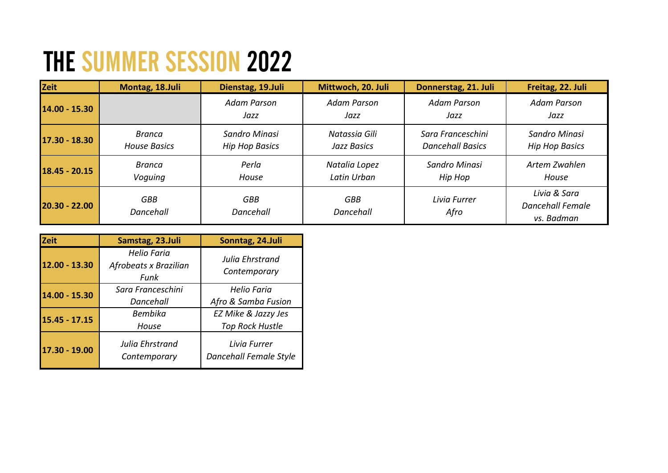## THE SUMMER SESSION 2022

| <b>Zeit</b>     | Montag, 18.Juli               | Dienstag, 19.Juli                      | Mittwoch, 20. Juli           | Donnerstag, 21. Juli                         | Freitag, 22. Juli                                     |
|-----------------|-------------------------------|----------------------------------------|------------------------------|----------------------------------------------|-------------------------------------------------------|
| 14.00 - 15.30   |                               | <b>Adam Parson</b><br>Jazz             | Adam Parson<br>Jazz          | <b>Adam Parson</b><br>Jazz                   | <b>Adam Parson</b><br>Jazz                            |
| 17.30 - 18.30   | Branca<br><b>House Basics</b> | Sandro Minasi<br><b>Hip Hop Basics</b> | Natassia Gili<br>Jazz Basics | Sara Franceschini<br><b>Dancehall Basics</b> | Sandro Minasi<br><b>Hip Hop Basics</b>                |
| $18.45 - 20.15$ | <b>Branca</b><br>Voquing      | Perla<br>House                         | Natalia Lopez<br>Latin Urban | Sandro Minasi<br>Hip Hop                     | Artem Zwahlen<br>House                                |
| $20.30 - 22.00$ | <b>GBB</b><br>Dancehall       | <b>GBB</b><br>Dancehall                | GBB<br>Dancehall             | Livia Furrer<br>Afro                         | Livia & Sara<br><b>Dancehall Female</b><br>vs. Badman |

| <b>Zeit</b>     | Samstag, 23.Juli                             | Sonntag, 24.Juli                              |
|-----------------|----------------------------------------------|-----------------------------------------------|
| 12.00 - 13.30   | Helio Faria<br>Afrobeats x Brazilian<br>Funk | Julia Ehrstrand<br>Contemporary               |
| 14.00 - 15.30   | Sara Franceschini<br>Dancehall               | <b>Helio Faria</b><br>Afro & Samba Fusion     |
| 15.45 - 17.15   | <b>Bembika</b><br>House                      | EZ Mike & Jazzy Jes<br><b>Top Rock Hustle</b> |
| $17.30 - 19.00$ | Julia Ehrstrand<br>Contemporary              | Livia Furrer<br>Dancehall Female Style        |